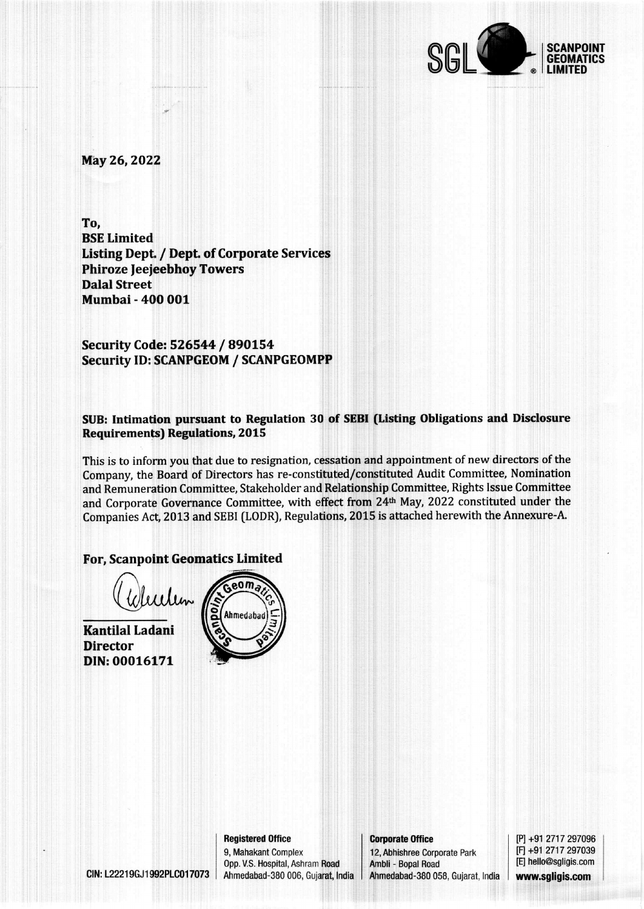

May 26, 2022

To, **BSE Limited Listing Dept. / Dept. of Corporate Services Phiroze Jeejeebhoy Towers Dalal Street Mumbai - 400 001** 

Security Code: 526544 / 890154 **Security ID: SCANPGEOM / SCANPGEOMPP** 

SUB: Intimation pursuant to Regulation 30 of SEBI (Listing Obligations and Disclosure **Requirements) Regulations, 2015** 

This is to inform you that due to resignation, cessation and appointment of new directors of the Company, the Board of Directors has re-constituted/constituted Audit Committee, Nomination and Remuneration Committee, Stakeholder and Relationship Committee, Rights Issue Committee and Corporate Governance Committee, with effect from 24th May, 2022 constituted under the Companies Act, 2013 and SEBI (LODR), Regulations, 2015 is attached herewith the Annexure-A.

### **For, Scanpoint Geomatics Limited**

CIN: L22219GJ1992PLC017073

**Kantilal Ladani Director** DIN: 00016171



**Corporate Office** 12, Abhishree Corporate Park Ambli - Bopal Road Ahmedabad-380 058, Gujarat, India [P] +91 2717 297096 [F] +91 2717 297039 [E] hello@sgligis.com www.sgligis.com